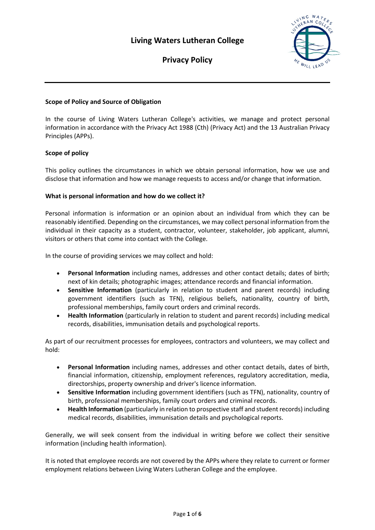

**Privacy Policy**

# **Scope of Policy and Source of Obligation**

In the course of Living Waters Lutheran College's activities, we manage and protect personal information in accordance with the Privacy Act 1988 (Cth) (Privacy Act) and the 13 Australian Privacy Principles (APPs).

## **Scope of policy**

This policy outlines the circumstances in which we obtain personal information, how we use and disclose that information and how we manage requests to access and/or change that information.

## **What is personal information and how do we collect it?**

Personal information is information or an opinion about an individual from which they can be reasonably identified. Depending on the circumstances, we may collect personal information from the individual in their capacity as a student, contractor, volunteer, stakeholder, job applicant, alumni, visitors or others that come into contact with the College.

In the course of providing services we may collect and hold:

- **Personal Information** including names, addresses and other contact details; dates of birth; next of kin details; photographic images; attendance records and financial information.
- **Sensitive Information** (particularly in relation to student and parent records) including government identifiers (such as TFN), religious beliefs, nationality, country of birth, professional memberships, family court orders and criminal records.
- **Health Information** (particularly in relation to student and parent records) including medical records, disabilities, immunisation details and psychological reports.

As part of our recruitment processes for employees, contractors and volunteers, we may collect and hold:

- **Personal Information** including names, addresses and other contact details, dates of birth, financial information, citizenship, employment references, regulatory accreditation, media, directorships, property ownership and driver's licence information.
- **Sensitive Information** including government identifiers (such as TFN), nationality, country of birth, professional memberships, family court orders and criminal records.
- **Health Information** (particularly in relation to prospective staff and student records) including medical records, disabilities, immunisation details and psychological reports.

Generally, we will seek consent from the individual in writing before we collect their sensitive information (including health information).

It is noted that employee records are not covered by the APPs where they relate to current or former employment relations between Living Waters Lutheran College and the employee.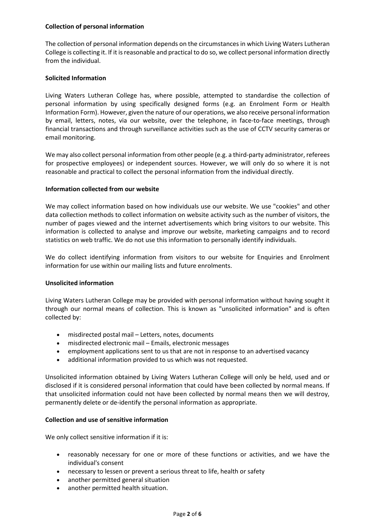## **Collection of personal information**

The collection of personal information depends on the circumstances in which Living Waters Lutheran College is collecting it. If it isreasonable and practical to do so, we collect personal information directly from the individual.

## **Solicited Information**

Living Waters Lutheran College has, where possible, attempted to standardise the collection of personal information by using specifically designed forms (e.g. an Enrolment Form or Health Information Form). However, given the nature of our operations, we also receive personal information by email, letters, notes, via our website, over the telephone, in face-to-face meetings, through financial transactions and through surveillance activities such as the use of CCTV security cameras or email monitoring.

We may also collect personal information from other people (e.g. a third-party administrator, referees for prospective employees) or independent sources. However, we will only do so where it is not reasonable and practical to collect the personal information from the individual directly.

## **Information collected from our website**

We may collect information based on how individuals use our website. We use "cookies" and other data collection methods to collect information on website activity such as the number of visitors, the number of pages viewed and the internet advertisements which bring visitors to our website. This information is collected to analyse and improve our website, marketing campaigns and to record statistics on web traffic. We do not use this information to personally identify individuals.

We do collect identifying information from visitors to our website for Enquiries and Enrolment information for use within our mailing lists and future enrolments.

## **Unsolicited information**

Living Waters Lutheran College may be provided with personal information without having sought it through our normal means of collection. This is known as "unsolicited information" and is often collected by:

- misdirected postal mail Letters, notes, documents
- misdirected electronic mail Emails, electronic messages
- employment applications sent to us that are not in response to an advertised vacancy
- additional information provided to us which was not requested.

Unsolicited information obtained by Living Waters Lutheran College will only be held, used and or disclosed if it is considered personal information that could have been collected by normal means. If that unsolicited information could not have been collected by normal means then we will destroy, permanently delete or de-identify the personal information as appropriate.

## **Collection and use of sensitive information**

We only collect sensitive information if it is:

- reasonably necessary for one or more of these functions or activities, and we have the individual's consent
- necessary to lessen or prevent a serious threat to life, health or safety
- another permitted general situation
- another permitted health situation.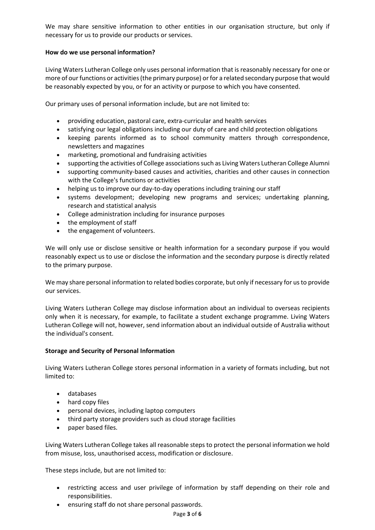We may share sensitive information to other entities in our organisation structure, but only if necessary for us to provide our products or services.

## **How do we use personal information?**

Living Waters Lutheran College only uses personal information that is reasonably necessary for one or more of our functions or activities (the primary purpose) or for a related secondary purpose that would be reasonably expected by you, or for an activity or purpose to which you have consented.

Our primary uses of personal information include, but are not limited to:

- providing education, pastoral care, extra-curricular and health services
- satisfying our legal obligations including our duty of care and child protection obligations
- keeping parents informed as to school community matters through correspondence, newsletters and magazines
- marketing, promotional and fundraising activities
- supporting the activities of College associationssuch as Living Waters Lutheran College Alumni
- supporting community-based causes and activities, charities and other causes in connection with the College's functions or activities
- helping us to improve our day-to-day operations including training our staff
- systems development; developing new programs and services; undertaking planning, research and statistical analysis
- College administration including for insurance purposes
- the employment of staff
- the engagement of volunteers.

We will only use or disclose sensitive or health information for a secondary purpose if you would reasonably expect us to use or disclose the information and the secondary purpose is directly related to the primary purpose.

We may share personal information to related bodies corporate, but only if necessary for usto provide our services.

Living Waters Lutheran College may disclose information about an individual to overseas recipients only when it is necessary, for example, to facilitate a student exchange programme. Living Waters Lutheran College will not, however, send information about an individual outside of Australia without the individual's consent.

## **Storage and Security of Personal Information**

Living Waters Lutheran College stores personal information in a variety of formats including, but not limited to:

- databases
- hard copy files
- personal devices, including laptop computers
- third party storage providers such as cloud storage facilities
- paper based files.

Living Waters Lutheran College takes all reasonable steps to protect the personal information we hold from misuse, loss, unauthorised access, modification or disclosure.

These steps include, but are not limited to:

- restricting access and user privilege of information by staff depending on their role and responsibilities.
- ensuring staff do not share personal passwords.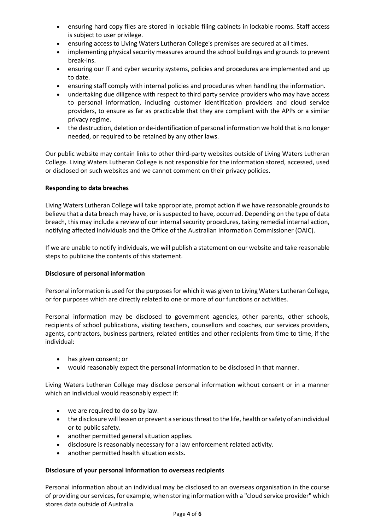- ensuring hard copy files are stored in lockable filing cabinets in lockable rooms. Staff access is subject to user privilege.
- ensuring access to Living Waters Lutheran College's premises are secured at all times.
- implementing physical security measures around the school buildings and grounds to prevent break-ins.
- ensuring our IT and cyber security systems, policies and procedures are implemented and up to date.
- ensuring staff comply with internal policies and procedures when handling the information.
- undertaking due diligence with respect to third party service providers who may have access to personal information, including customer identification providers and cloud service providers, to ensure as far as practicable that they are compliant with the APPs or a similar privacy regime.
- the destruction, deletion or de-identification of personal information we hold that is no longer needed, or required to be retained by any other laws.

Our public website may contain links to other third-party websites outside of Living Waters Lutheran College. Living Waters Lutheran College is not responsible for the information stored, accessed, used or disclosed on such websites and we cannot comment on their privacy policies.

## **Responding to data breaches**

Living Waters Lutheran College will take appropriate, prompt action if we have reasonable grounds to believe that a data breach may have, or is suspected to have, occurred. Depending on the type of data breach, this may include a review of our internal security procedures, taking remedial internal action, notifying affected individuals and the Office of the Australian Information Commissioner (OAIC).

If we are unable to notify individuals, we will publish a statement on our website and take reasonable steps to publicise the contents of this statement.

## **Disclosure of personal information**

Personal information is used forthe purposesfor which it was given to Living Waters Lutheran College, or for purposes which are directly related to one or more of our functions or activities.

Personal information may be disclosed to government agencies, other parents, other schools, recipients of school publications, visiting teachers, counsellors and coaches, our services providers, agents, contractors, business partners, related entities and other recipients from time to time, if the individual:

- has given consent; or
- would reasonably expect the personal information to be disclosed in that manner.

Living Waters Lutheran College may disclose personal information without consent or in a manner which an individual would reasonably expect if:

- we are required to do so by law.
- the disclosure will lessen or prevent a serious threat to the life, health or safety of an individual or to public safety.
- another permitted general situation applies.
- disclosure is reasonably necessary for a law enforcement related activity.
- another permitted health situation exists.

## **Disclosure of your personal information to overseas recipients**

Personal information about an individual may be disclosed to an overseas organisation in the course of providing our services, for example, when storing information with a "cloud service provider" which stores data outside of Australia.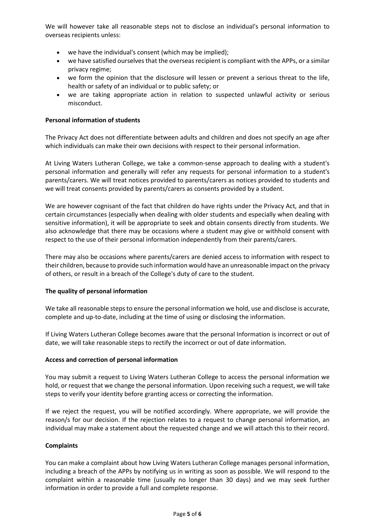We will however take all reasonable steps not to disclose an individual's personal information to overseas recipients unless:

- we have the individual's consent (which may be implied);
- we have satisfied ourselves that the overseas recipient is compliant with the APPs, or a similar privacy regime;
- we form the opinion that the disclosure will lessen or prevent a serious threat to the life, health or safety of an individual or to public safety; or
- we are taking appropriate action in relation to suspected unlawful activity or serious misconduct.

## **Personal information of students**

The Privacy Act does not differentiate between adults and children and does not specify an age after which individuals can make their own decisions with respect to their personal information.

At Living Waters Lutheran College, we take a common-sense approach to dealing with a student's personal information and generally will refer any requests for personal information to a student's parents/carers. We will treat notices provided to parents/carers as notices provided to students and we will treat consents provided by parents/carers as consents provided by a student.

We are however cognisant of the fact that children do have rights under the Privacy Act, and that in certain circumstances (especially when dealing with older students and especially when dealing with sensitive information), it will be appropriate to seek and obtain consents directly from students. We also acknowledge that there may be occasions where a student may give or withhold consent with respect to the use of their personal information independently from their parents/carers.

There may also be occasions where parents/carers are denied access to information with respect to their children, because to provide such information would have an unreasonable impact on the privacy of others, or result in a breach of the College's duty of care to the student.

## **The quality of personal information**

We take all reasonable steps to ensure the personal information we hold, use and disclose is accurate, complete and up-to-date, including at the time of using or disclosing the information.

If Living Waters Lutheran College becomes aware that the personal Information is incorrect or out of date, we will take reasonable steps to rectify the incorrect or out of date information.

## **Access and correction of personal information**

You may submit a request to Living Waters Lutheran College to access the personal information we hold, or request that we change the personal information. Upon receiving such a request, we will take steps to verify your identity before granting access or correcting the information.

If we reject the request, you will be notified accordingly. Where appropriate, we will provide the reason/s for our decision. If the rejection relates to a request to change personal information, an individual may make a statement about the requested change and we will attach this to their record.

## **Complaints**

You can make a complaint about how Living Waters Lutheran College manages personal information, including a breach of the APPs by notifying us in writing as soon as possible. We will respond to the complaint within a reasonable time (usually no longer than 30 days) and we may seek further information in order to provide a full and complete response.